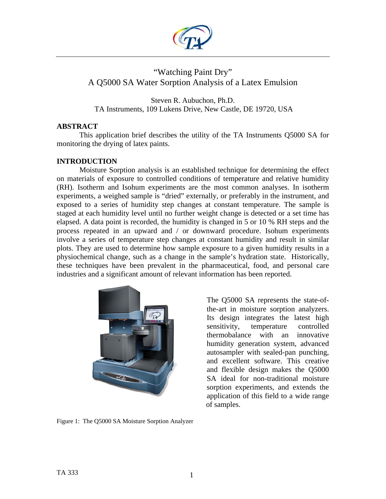

# "Watching Paint Dry" A Q5000 SA Water Sorption Analysis of a Latex Emulsion

Steven R. Aubuchon, Ph.D. TA Instruments, 109 Lukens Drive, New Castle, DE 19720, USA

## **ABSTRACT**

 This application brief describes the utility of the TA Instruments Q5000 SA for monitoring the drying of latex paints.

# **INTRODUCTION**

Moisture Sorption analysis is an established technique for determining the effect on materials of exposure to controlled conditions of temperature and relative humidity (RH). Isotherm and Isohum experiments are the most common analyses. In isotherm experiments, a weighed sample is "dried" externally, or preferably in the instrument, and exposed to a series of humidity step changes at constant temperature. The sample is staged at each humidity level until no further weight change is detected or a set time has elapsed. A data point is recorded, the humidity is changed in 5 or 10 % RH steps and the process repeated in an upward and / or downward procedure. Isohum experiments involve a series of temperature step changes at constant humidity and result in similar plots. They are used to determine how sample exposure to a given humidity results in a physiochemical change, such as a change in the sample's hydration state. Historically, these techniques have been prevalent in the pharmaceutical, food, and personal care industries and a significant amount of relevant information has been reported.



The Q5000 SA represents the state-ofthe-art in moisture sorption analyzers. Its design integrates the latest high sensitivity, temperature controlled thermobalance with an innovative humidity generation system, advanced autosampler with sealed-pan punching, and excellent software. This creative and flexible design makes the Q5000 SA ideal for non-traditional moisture sorption experiments, and extends the application of this field to a wide range of samples.

Figure 1: The Q5000 SA Moisture Sorption Analyzer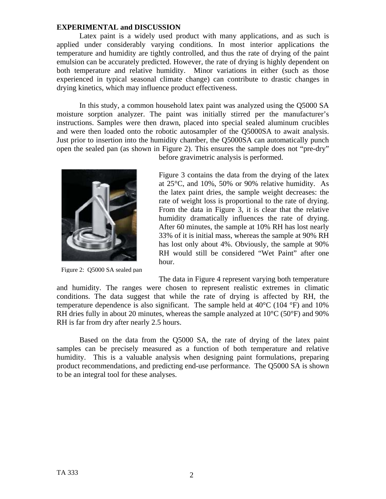#### **EXPERIMENTAL and DISCUSSION**

Latex paint is a widely used product with many applications, and as such is applied under considerably varying conditions. In most interior applications the temperature and humidity are tightly controlled, and thus the rate of drying of the paint emulsion can be accurately predicted. However, the rate of drying is highly dependent on both temperature and relative humidity. Minor variations in either (such as those experienced in typical seasonal climate change) can contribute to drastic changes in drying kinetics, which may influence product effectiveness.

In this study, a common household latex paint was analyzed using the Q5000 SA moisture sorption analyzer. The paint was initially stirred per the manufacturer's instructions. Samples were then drawn, placed into special sealed aluminum crucibles and were then loaded onto the robotic autosampler of the Q5000SA to await analysis. Just prior to insertion into the humidity chamber, the Q5000SA can automatically punch open the sealed pan (as shown in Figure 2). This ensures the sample does not "pre-dry"



Figure 2: Q5000 SA sealed pan

before gravimetric analysis is performed.

Figure 3 contains the data from the drying of the latex at 25°C, and 10%, 50% or 90% relative humidity. As the latex paint dries, the sample weight decreases: the rate of weight loss is proportional to the rate of drying. From the data in Figure 3, it is clear that the relative humidity dramatically influences the rate of drying. After 60 minutes, the sample at 10% RH has lost nearly 33% of it is initial mass, whereas the sample at 90% RH has lost only about 4%. Obviously, the sample at 90% RH would still be considered "Wet Paint" after one hour.

The data in Figure 4 represent varying both temperature and humidity. The ranges were chosen to represent realistic extremes in climatic conditions. The data suggest that while the rate of drying is affected by RH, the temperature dependence is also significant. The sample held at  $40^{\circ}$ C (104  $^{\circ}$ F) and 10% RH dries fully in about 20 minutes, whereas the sample analyzed at  $10^{\circ}$ C (50 $^{\circ}$ F) and 90% RH is far from dry after nearly 2.5 hours.

Based on the data from the Q5000 SA, the rate of drying of the latex paint samples can be precisely measured as a function of both temperature and relative humidity. This is a valuable analysis when designing paint formulations, preparing product recommendations, and predicting end-use performance. The Q5000 SA is shown to be an integral tool for these analyses.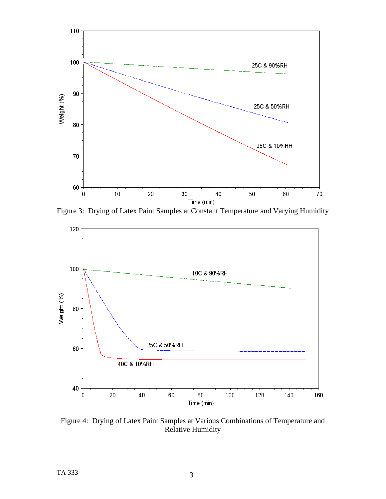

Figure 3: Drying of Latex Paint Samples at Constant Temperature and Varying Humidity



Figure 4: Drying of Latex Paint Samples at Various Combinations of Temperature and Relative Humidity